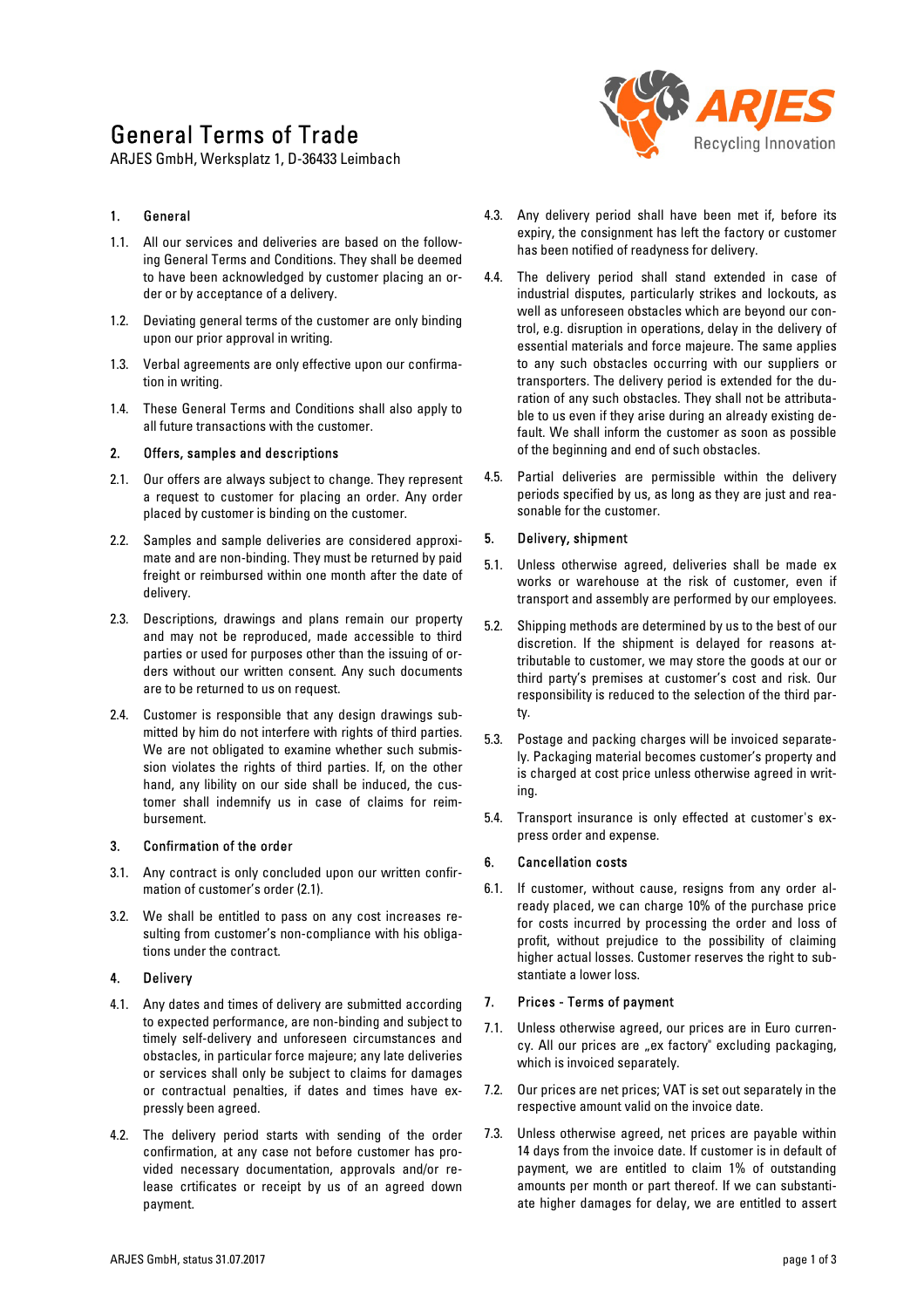# General Terms of Trade

ARJES GmbH, Werksplatz 1, D-36433 Leimbach

## 1. General

- 1.1. All our services and deliveries are based on the following General Terms and Conditions. They shall be deemed to have been acknowledged by customer placing an order or by acceptance of a delivery.
- 1.2. Deviating general terms of the customer are only binding upon our prior approval in writing.
- 1.3. Verbal agreements are only effective upon our confirmation in writing.
- 1.4. These General Terms and Conditions shall also apply to all future transactions with the customer.

#### 2. Offers, samples and descriptions

- 2.1. Our offers are always subject to change. They represent a request to customer for placing an order. Any order placed by customer is binding on the customer.
- 2.2. Samples and sample deliveries are considered approximate and are non-binding. They must be returned by paid freight or reimbursed within one month after the date of delivery.
- 2.3. Descriptions, drawings and plans remain our property and may not be reproduced, made accessible to third parties or used for purposes other than the issuing of orders without our written consent. Any such documents are to be returned to us on request.
- 2.4. Customer is responsible that any design drawings submitted by him do not interfere with rights of third parties. We are not obligated to examine whether such submission violates the rights of third parties. If, on the other hand, any libility on our side shall be induced, the customer shall indemnify us in case of claims for reimbursement.

#### 3. Confirmation of the order

- 3.1. Any contract is only concluded upon our written confirmation of customer's order (2.1).
- 3.2. We shall be entitled to pass on any cost increases resulting from customer's non-compliance with his obligations under the contract.

#### 4. Delivery

- 4.1. Any dates and times of delivery are submitted according to expected performance, are non-binding and subject to timely self-delivery and unforeseen circumstances and obstacles, in particular force majeure; any late deliveries or services shall only be subject to claims for damages or contractual penalties, if dates and times have expressly been agreed.
- 4.2. The delivery period starts with sending of the order confirmation, at any case not before customer has provided necessary documentation, approvals and/or release crtificates or receipt by us of an agreed down payment.



- 4.3. Any delivery period shall have been met if, before its expiry, the consignment has left the factory or customer has been notified of readyness for delivery.
- 4.4. The delivery period shall stand extended in case of industrial disputes, particularly strikes and lockouts, as well as unforeseen obstacles which are beyond our control, e.g. disruption in operations, delay in the delivery of essential materials and force majeure. The same applies to any such obstacles occurring with our suppliers or transporters. The delivery period is extended for the duration of any such obstacles. They shall not be attributable to us even if they arise during an already existing default. We shall inform the customer as soon as possible of the beginning and end of such obstacles.
- 4.5. Partial deliveries are permissible within the delivery periods specified by us, as long as they are just and reasonable for the customer.

## 5. Delivery, shipment

- 5.1. Unless otherwise agreed, deliveries shall be made ex works or warehouse at the risk of customer, even if transport and assembly are performed by our employees.
- 5.2. Shipping methods are determined by us to the best of our discretion. If the shipment is delayed for reasons attributable to customer, we may store the goods at our or third party's premises at customer's cost and risk. Our responsibility is reduced to the selection of the third party.
- 5.3. Postage and packing charges will be invoiced separately. Packaging material becomes customer's property and is charged at cost price unless otherwise agreed in writing.
- 5.4. Transport insurance is only effected at customer's express order and expense.

## 6. Cancellation costs

6.1. If customer, without cause, resigns from any order already placed, we can charge 10% of the purchase price for costs incurred by processing the order and loss of profit, without prejudice to the possibility of claiming higher actual losses. Customer reserves the right to substantiate a lower loss.

## 7. Prices - Terms of payment

- 7.1. Unless otherwise agreed, our prices are in Euro currency. All our prices are "ex factory" excluding packaging, which is invoiced separately.
- 7.2. Our prices are net prices; VAT is set out separately in the respective amount valid on the invoice date.
- 7.3. Unless otherwise agreed, net prices are payable within 14 days from the invoice date. If customer is in default of payment, we are entitled to claim 1% of outstanding amounts per month or part thereof. If we can substantiate higher damages for delay, we are entitled to assert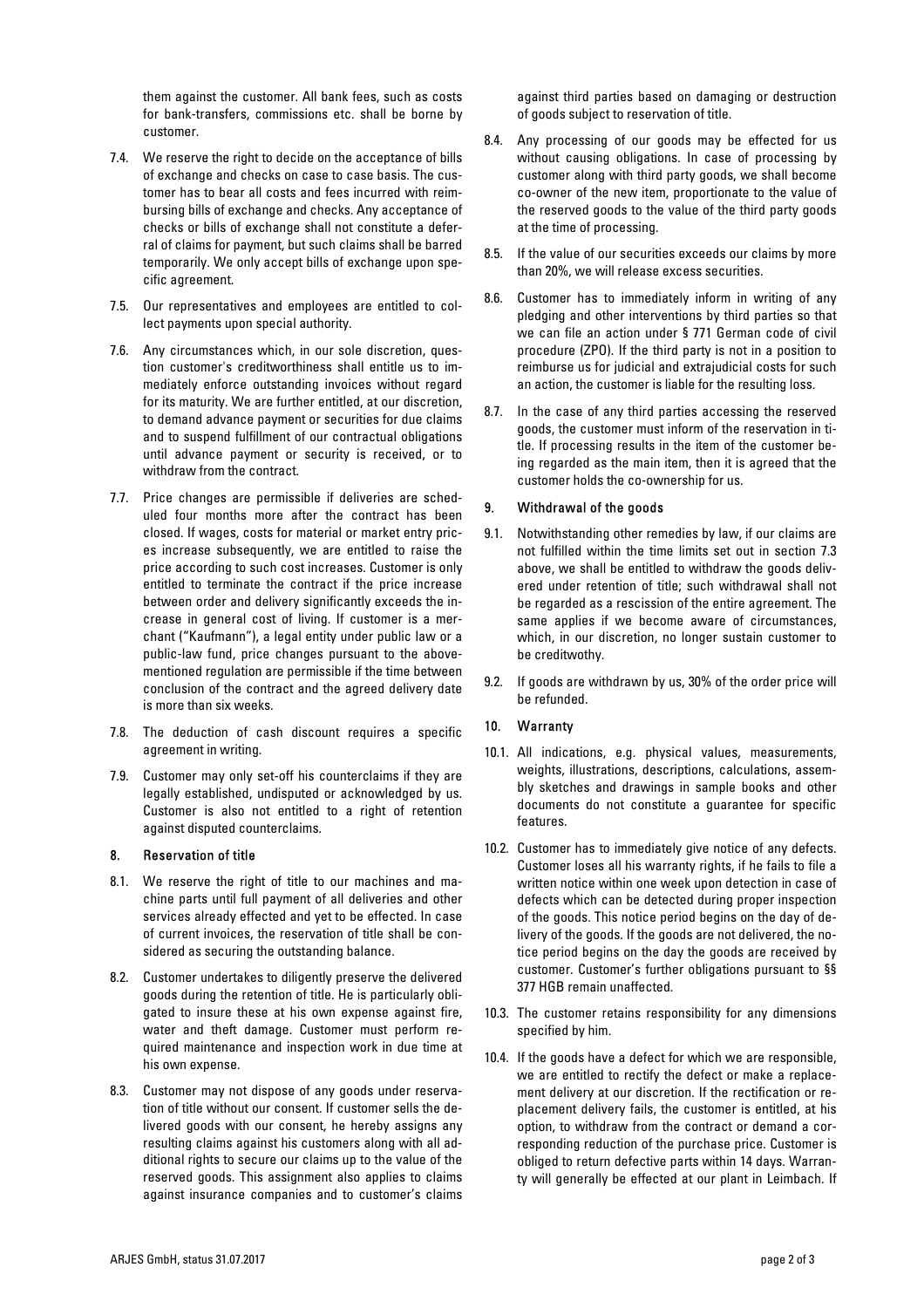them against the customer. All bank fees, such as costs for bank-transfers, commissions etc. shall be borne by customer.

- 7.4. We reserve the right to decide on the acceptance of bills of exchange and checks on case to case basis. The customer has to bear all costs and fees incurred with reimbursing bills of exchange and checks. Any acceptance of checks or bills of exchange shall not constitute a deferral of claims for payment, but such claims shall be barred temporarily. We only accept bills of exchange upon specific agreement.
- 7.5. Our representatives and employees are entitled to collect payments upon special authority.
- 7.6. Any circumstances which, in our sole discretion, question customer's creditworthiness shall entitle us to immediately enforce outstanding invoices without regard for its maturity. We are further entitled, at our discretion, to demand advance payment or securities for due claims and to suspend fulfillment of our contractual obligations until advance payment or security is received, or to withdraw from the contract.
- 7.7. Price changes are permissible if deliveries are scheduled four months more after the contract has been closed. If wages, costs for material or market entry prices increase subsequently, we are entitled to raise the price according to such cost increases. Customer is only entitled to terminate the contract if the price increase between order and delivery significantly exceeds the increase in general cost of living. If customer is a merchant ("Kaufmann"), a legal entity under public law or a public-law fund, price changes pursuant to the abovementioned regulation are permissible if the time between conclusion of the contract and the agreed delivery date is more than six weeks.
- 7.8. The deduction of cash discount requires a specific agreement in writing.
- 7.9. Customer may only set-off his counterclaims if they are legally established, undisputed or acknowledged by us. Customer is also not entitled to a right of retention against disputed counterclaims.

## 8. Reservation of title

- 8.1. We reserve the right of title to our machines and machine parts until full payment of all deliveries and other services already effected and yet to be effected. In case of current invoices, the reservation of title shall be considered as securing the outstanding balance.
- 8.2. Customer undertakes to diligently preserve the delivered goods during the retention of title. He is particularly obligated to insure these at his own expense against fire, water and theft damage. Customer must perform required maintenance and inspection work in due time at his own expense.
- 8.3. Customer may not dispose of any goods under reservation of title without our consent. If customer sells the delivered goods with our consent, he hereby assigns any resulting claims against his customers along with all additional rights to secure our claims up to the value of the reserved goods. This assignment also applies to claims against insurance companies and to customer's claims

against third parties based on damaging or destruction of goods subject to reservation of title.

- 8.4. Any processing of our goods may be effected for us without causing obligations. In case of processing by customer along with third party goods, we shall become co-owner of the new item, proportionate to the value of the reserved goods to the value of the third party goods at the time of processing.
- 8.5. If the value of our securities exceeds our claims by more than 20%, we will release excess securities.
- 8.6. Customer has to immediately inform in writing of any pledging and other interventions by third parties so that we can file an action under § 771 German code of civil procedure (ZPO). If the third party is not in a position to reimburse us for judicial and extrajudicial costs for such an action, the customer is liable for the resulting loss.
- 8.7. In the case of any third parties accessing the reserved goods, the customer must inform of the reservation in title. If processing results in the item of the customer being regarded as the main item, then it is agreed that the customer holds the co-ownership for us.

## 9. Withdrawal of the goods

- 9.1. Notwithstanding other remedies by law, if our claims are not fulfilled within the time limits set out in section 7.3 above, we shall be entitled to withdraw the goods delivered under retention of title; such withdrawal shall not be regarded as a rescission of the entire agreement. The same applies if we become aware of circumstances, which, in our discretion, no longer sustain customer to be creditwothy.
- 9.2. If goods are withdrawn by us, 30% of the order price will be refunded.

## 10. Warranty

- 10.1. All indications, e.g. physical values, measurements, weights, illustrations, descriptions, calculations, assembly sketches and drawings in sample books and other documents do not constitute a guarantee for specific features.
- 10.2. Customer has to immediately give notice of any defects. Customer loses all his warranty rights, if he fails to file a written notice within one week upon detection in case of defects which can be detected during proper inspection of the goods. This notice period begins on the day of delivery of the goods. If the goods are not delivered, the notice period begins on the day the goods are received by customer. Customer's further obligations pursuant to §§ 377 HGB remain unaffected.
- 10.3. The customer retains responsibility for any dimensions specified by him.
- 10.4. If the goods have a defect for which we are responsible, we are entitled to rectify the defect or make a replacement delivery at our discretion. If the rectification or replacement delivery fails, the customer is entitled, at his option, to withdraw from the contract or demand a corresponding reduction of the purchase price. Customer is obliged to return defective parts within 14 days. Warranty will generally be effected at our plant in Leimbach. If